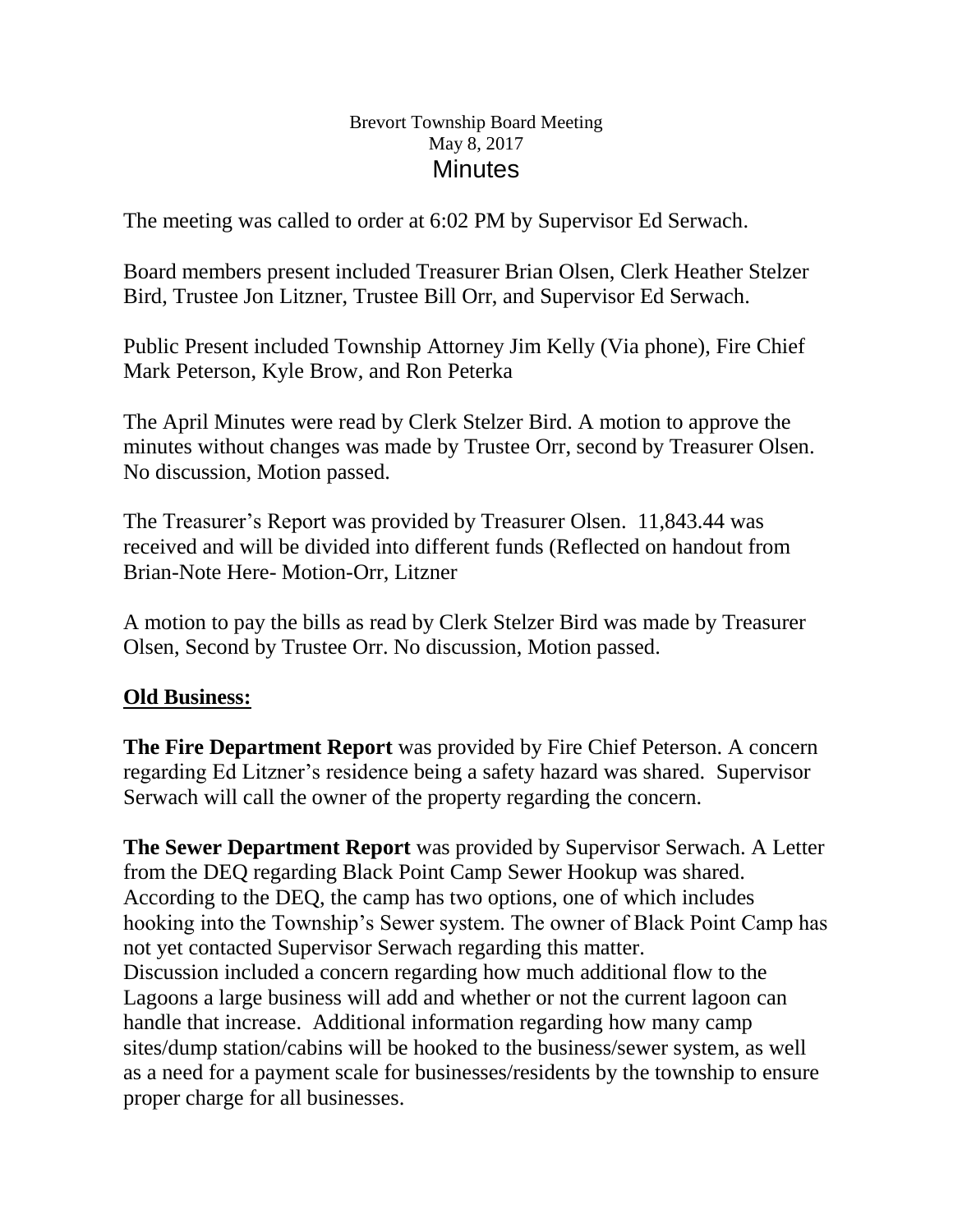#### Brevort Township Board Meeting May 8, 2017 **Minutes**

The meeting was called to order at 6:02 PM by Supervisor Ed Serwach.

Board members present included Treasurer Brian Olsen, Clerk Heather Stelzer Bird, Trustee Jon Litzner, Trustee Bill Orr, and Supervisor Ed Serwach.

Public Present included Township Attorney Jim Kelly (Via phone), Fire Chief Mark Peterson, Kyle Brow, and Ron Peterka

The April Minutes were read by Clerk Stelzer Bird. A motion to approve the minutes without changes was made by Trustee Orr, second by Treasurer Olsen. No discussion, Motion passed.

The Treasurer's Report was provided by Treasurer Olsen. 11,843.44 was received and will be divided into different funds (Reflected on handout from Brian-Note Here- Motion-Orr, Litzner

A motion to pay the bills as read by Clerk Stelzer Bird was made by Treasurer Olsen, Second by Trustee Orr. No discussion, Motion passed.

# **Old Business:**

**The Fire Department Report** was provided by Fire Chief Peterson. A concern regarding Ed Litzner's residence being a safety hazard was shared. Supervisor Serwach will call the owner of the property regarding the concern.

**The Sewer Department Report** was provided by Supervisor Serwach. A Letter from the DEQ regarding Black Point Camp Sewer Hookup was shared. According to the DEQ, the camp has two options, one of which includes hooking into the Township's Sewer system. The owner of Black Point Camp has not yet contacted Supervisor Serwach regarding this matter. Discussion included a concern regarding how much additional flow to the Lagoons a large business will add and whether or not the current lagoon can handle that increase. Additional information regarding how many camp sites/dump station/cabins will be hooked to the business/sewer system, as well as a need for a payment scale for businesses/residents by the township to ensure proper charge for all businesses.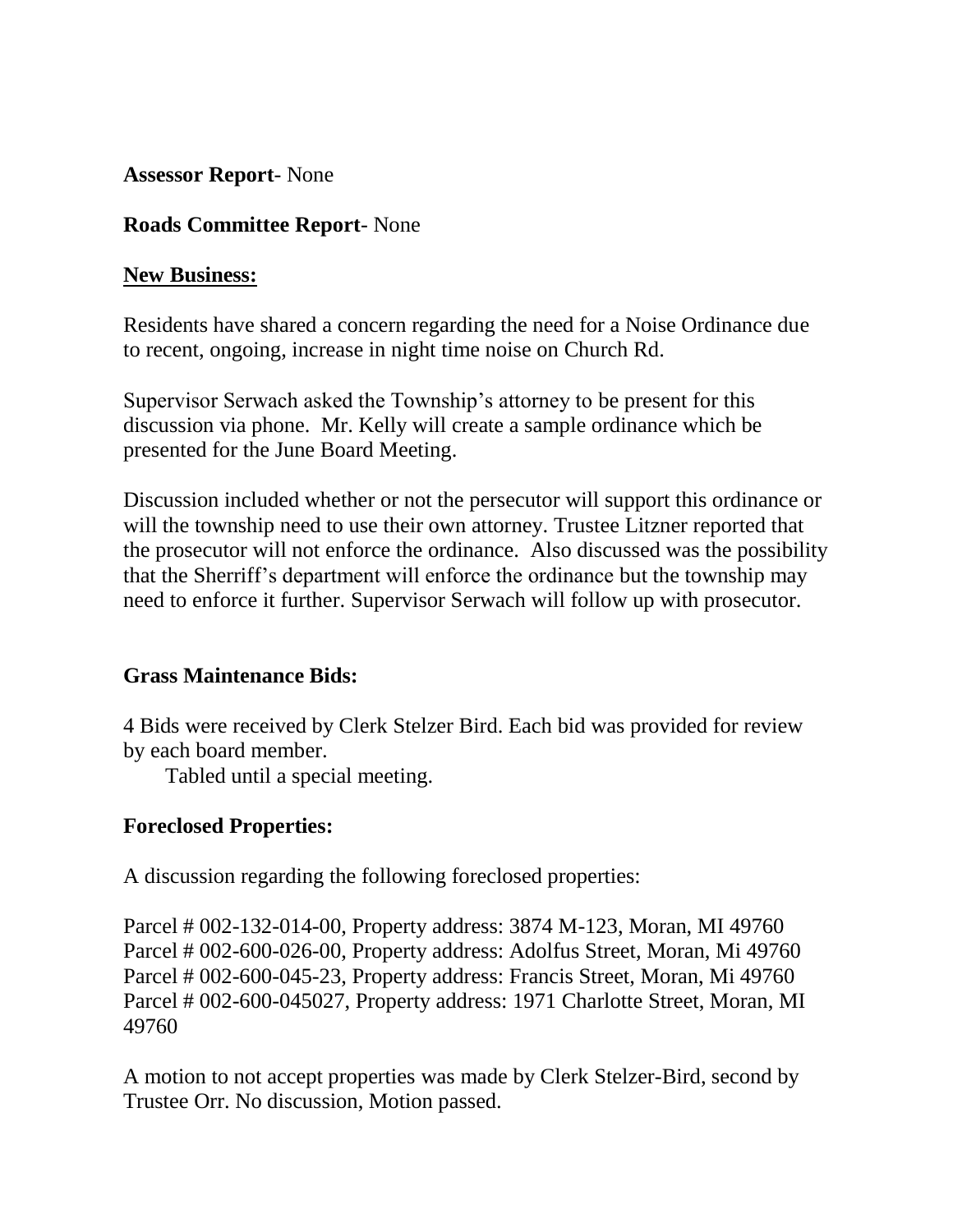**Assessor Report**- None

# **Roads Committee Report**- None

#### **New Business:**

Residents have shared a concern regarding the need for a Noise Ordinance due to recent, ongoing, increase in night time noise on Church Rd.

Supervisor Serwach asked the Township's attorney to be present for this discussion via phone. Mr. Kelly will create a sample ordinance which be presented for the June Board Meeting.

Discussion included whether or not the persecutor will support this ordinance or will the township need to use their own attorney. Trustee Litzner reported that the prosecutor will not enforce the ordinance. Also discussed was the possibility that the Sherriff's department will enforce the ordinance but the township may need to enforce it further. Supervisor Serwach will follow up with prosecutor.

## **Grass Maintenance Bids:**

4 Bids were received by Clerk Stelzer Bird. Each bid was provided for review by each board member.

Tabled until a special meeting.

## **Foreclosed Properties:**

A discussion regarding the following foreclosed properties:

Parcel # 002-132-014-00, Property address: 3874 M-123, Moran, MI 49760 Parcel # 002-600-026-00, Property address: Adolfus Street, Moran, Mi 49760 Parcel # 002-600-045-23, Property address: Francis Street, Moran, Mi 49760 Parcel # 002-600-045027, Property address: 1971 Charlotte Street, Moran, MI 49760

A motion to not accept properties was made by Clerk Stelzer-Bird, second by Trustee Orr. No discussion, Motion passed.